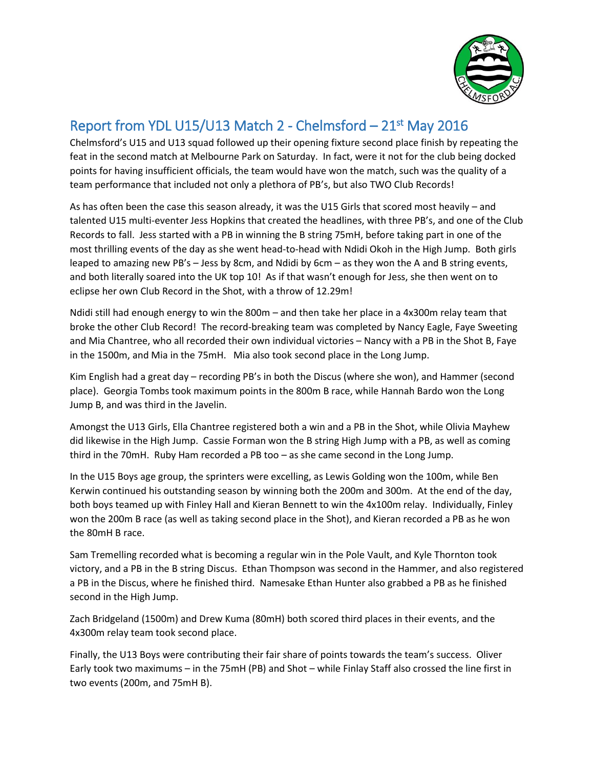

## Report from YDL U15/U13 Match 2 - Chelmsford – 21<sup>st</sup> May 2016

Chelmsford's U15 and U13 squad followed up their opening fixture second place finish by repeating the feat in the second match at Melbourne Park on Saturday. In fact, were it not for the club being docked points for having insufficient officials, the team would have won the match, such was the quality of a team performance that included not only a plethora of PB's, but also TWO Club Records!

As has often been the case this season already, it was the U15 Girls that scored most heavily – and talented U15 multi-eventer Jess Hopkins that created the headlines, with three PB's, and one of the Club Records to fall. Jess started with a PB in winning the B string 75mH, before taking part in one of the most thrilling events of the day as she went head-to-head with Ndidi Okoh in the High Jump. Both girls leaped to amazing new PB's – Jess by 8cm, and Ndidi by 6cm – as they won the A and B string events, and both literally soared into the UK top 10! As if that wasn't enough for Jess, she then went on to eclipse her own Club Record in the Shot, with a throw of 12.29m!

Ndidi still had enough energy to win the 800m – and then take her place in a 4x300m relay team that broke the other Club Record! The record-breaking team was completed by Nancy Eagle, Faye Sweeting and Mia Chantree, who all recorded their own individual victories – Nancy with a PB in the Shot B, Faye in the 1500m, and Mia in the 75mH. Mia also took second place in the Long Jump.

Kim English had a great day – recording PB's in both the Discus (where she won), and Hammer (second place). Georgia Tombs took maximum points in the 800m B race, while Hannah Bardo won the Long Jump B, and was third in the Javelin.

Amongst the U13 Girls, Ella Chantree registered both a win and a PB in the Shot, while Olivia Mayhew did likewise in the High Jump. Cassie Forman won the B string High Jump with a PB, as well as coming third in the 70mH. Ruby Ham recorded a PB too – as she came second in the Long Jump.

In the U15 Boys age group, the sprinters were excelling, as Lewis Golding won the 100m, while Ben Kerwin continued his outstanding season by winning both the 200m and 300m. At the end of the day, both boys teamed up with Finley Hall and Kieran Bennett to win the 4x100m relay. Individually, Finley won the 200m B race (as well as taking second place in the Shot), and Kieran recorded a PB as he won the 80mH B race.

Sam Tremelling recorded what is becoming a regular win in the Pole Vault, and Kyle Thornton took victory, and a PB in the B string Discus. Ethan Thompson was second in the Hammer, and also registered a PB in the Discus, where he finished third. Namesake Ethan Hunter also grabbed a PB as he finished second in the High Jump.

Zach Bridgeland (1500m) and Drew Kuma (80mH) both scored third places in their events, and the 4x300m relay team took second place.

Finally, the U13 Boys were contributing their fair share of points towards the team's success. Oliver Early took two maximums – in the 75mH (PB) and Shot – while Finlay Staff also crossed the line first in two events (200m, and 75mH B).